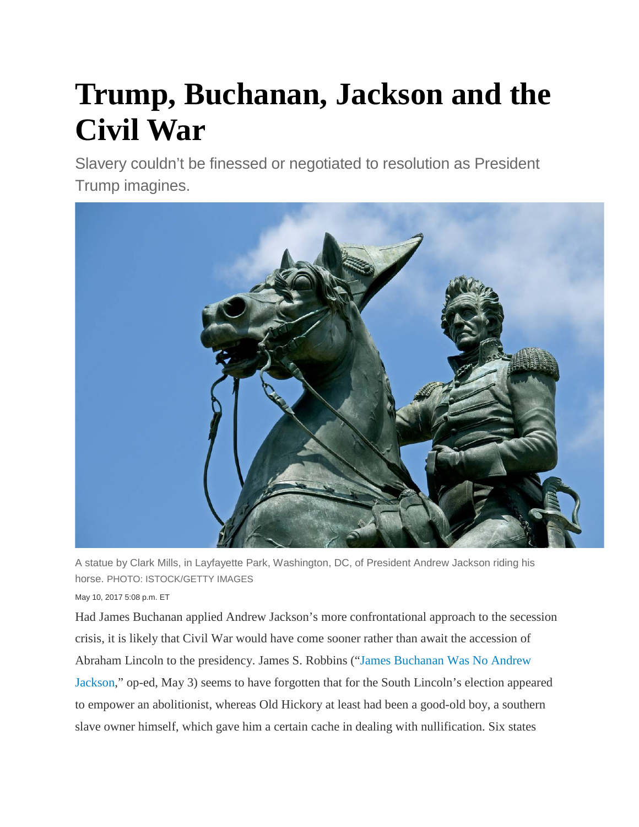## **Trump, Buchanan, Jackson and the Civil War**

Slavery couldn't be finessed or negotiated to resolution as President Trump imagines.



A statue by Clark Mills, in Layfayette Park, Washington, DC, of President Andrew Jackson riding his horse. PHOTO: ISTOCK/GETTY IMAGES

## May 10, 2017 5:08 p.m. ET

Had James Buchanan applied Andrew Jackson's more confrontational approach to the secession crisis, it is likely that Civil War would have come sooner rather than await the accession of Abraham Lincoln to the presidency. James S. Robbins (["James Buchanan Was No Andrew](https://www.wsj.com/articles/james-buchanan-was-no-andrew-jackson-1493766115)  [Jackson,](https://www.wsj.com/articles/james-buchanan-was-no-andrew-jackson-1493766115)" op-ed, May 3) seems to have forgotten that for the South Lincoln's election appeared to empower an abolitionist, whereas Old Hickory at least had been a good-old boy, a southern slave owner himself, which gave him a certain cache in dealing with nullification. Six states